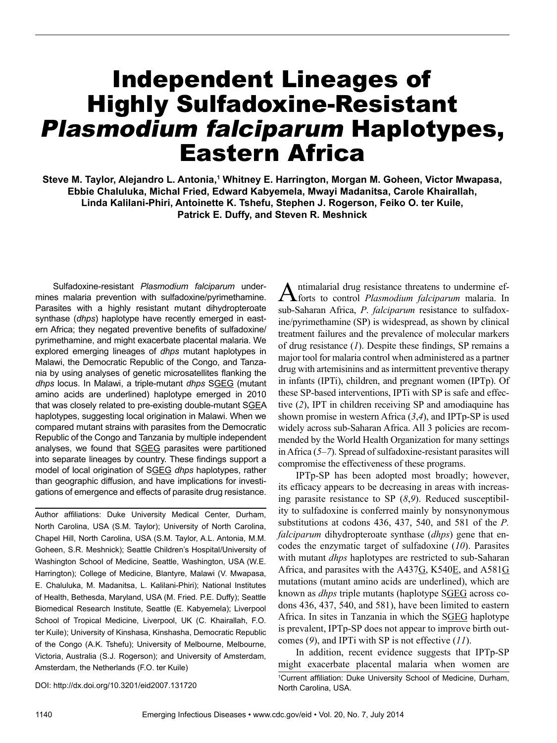# Independent Lineages of Highly Sulfadoxine-Resistant Plasmodium falciparum Haplotypes, Eastern Africa

Steve M. Taylor, Alejandro L. Antonia,<sup>1</sup> Whitney E. Harrington, Morgan M. Goheen, Victor Mwapasa, **Ebbie Chaluluka, Michal Fried, Edward Kabyemela, Mwayi Madanitsa, Carole Khairallah, Linda Kalilani-Phiri, Antoinette K. Tshefu, Stephen J. Rogerson, Feiko O. ter Kuile, Patrick E. Duffy, and Steven R. Meshnick**

Sulfadoxine-resistant *Plasmodium falciparum* undermines malaria prevention with sulfadoxine/pyrimethamine. Parasites with a highly resistant mutant dihydropteroate synthase (*dhps*) haplotype have recently emerged in eastern Africa; they negated preventive benefits of sulfadoxine/ pyrimethamine, and might exacerbate placental malaria. We explored emerging lineages of *dhps* mutant haplotypes in Malawi, the Democratic Republic of the Congo, and Tanzania by using analyses of genetic microsatellites flanking the *dhps* locus. In Malawi, a triple-mutant *dhps* SGEG (mutant amino acids are underlined) haplotype emerged in 2010 that was closely related to pre-existing double-mutant SGEA haplotypes, suggesting local origination in Malawi. When we compared mutant strains with parasites from the Democratic Republic of the Congo and Tanzania by multiple independent analyses, we found that SGEG parasites were partitioned into separate lineages by country. These findings support a model of local origination of SGEG *dhps* haplotypes, rather than geographic diffusion, and have implications for investigations of emergence and effects of parasite drug resistance.

Author affiliations: Duke University Medical Center, Durham, North Carolina, USA (S.M. Taylor); University of North Carolina, Chapel Hill, North Carolina, USA (S.M. Taylor, A.L. Antonia, M.M. Goheen, S.R. Meshnick); Seattle Children's Hospital/University of Washington School of Medicine, Seattle, Washington, USA (W.E. Harrington); College of Medicine, Blantyre, Malawi (V. Mwapasa, E. Chaluluka, M. Madanitsa, L. Kalilani-Phiri); National Institutes of Health, Bethesda, Maryland, USA (M. Fried. P.E. Duffy); Seattle Biomedical Research Institute, Seattle (E. Kabyemela); Liverpool School of Tropical Medicine, Liverpool, UK (C. Khairallah, F.O. ter Kuile); University of Kinshasa, Kinshasha, Democratic Republic of the Congo (A.K. Tshefu); University of Melbourne, Melbourne, Victoria, Australia (S.J. Rogerson); and University of Amsterdam, Amsterdam, the Netherlands (F.O. ter Kuile)

Antimalarial drug resistance threatens to undermine ef-forts to control *Plasmodium falciparum* malaria. In sub-Saharan Africa, *P*. *falciparum* resistance to sulfadoxine/pyrimethamine (SP) is widespread, as shown by clinical treatment failures and the prevalence of molecular markers of drug resistance (*1*). Despite these findings, SP remains a major tool for malaria control when administered as a partner drug with artemisinins and as intermittent preventive therapy in infants (IPTi), children, and pregnant women (IPTp). Of these SP-based interventions, IPTi with SP is safe and effective (*2*), IPT in children receiving SP and amodiaquine has shown promise in western Africa (*3*,*4*), and IPTp-SP is used widely across sub-Saharan Africa. All 3 policies are recommended by the World Health Organization for many settings in Africa (*5*–*7*). Spread of sulfadoxine-resistant parasites will compromise the effectiveness of these programs.

IPTp-SP has been adopted most broadly; however, its efficacy appears to be decreasing in areas with increasing parasite resistance to SP (*8*,*9*). Reduced susceptibility to sulfadoxine is conferred mainly by nonsynonymous substitutions at codons 436, 437, 540, and 581 of the *P. falciparum* dihydropteroate synthase (*dhps*) gene that encodes the enzymatic target of sulfadoxine (*10*). Parasites with mutant *dhps* haplotypes are restricted to sub-Saharan Africa, and parasites with the A437G, K540E, and A581G mutations (mutant amino acids are underlined), which are known as *dhps* triple mutants (haplotype SGEG across codons 436, 437, 540, and 581), have been limited to eastern Africa. In sites in Tanzania in which the SGEG haplotype is prevalent, IPTp-SP does not appear to improve birth outcomes (*9*), and IPTi with SP is not effective (*11*).

In addition, recent evidence suggests that IPTp-SP might exacerbate placental malaria when women are 1 Current affiliation: Duke University School of Medicine, Durham, North Carolina, USA.

DOI: http://dx.doi.org/10.3201/eid2007.131720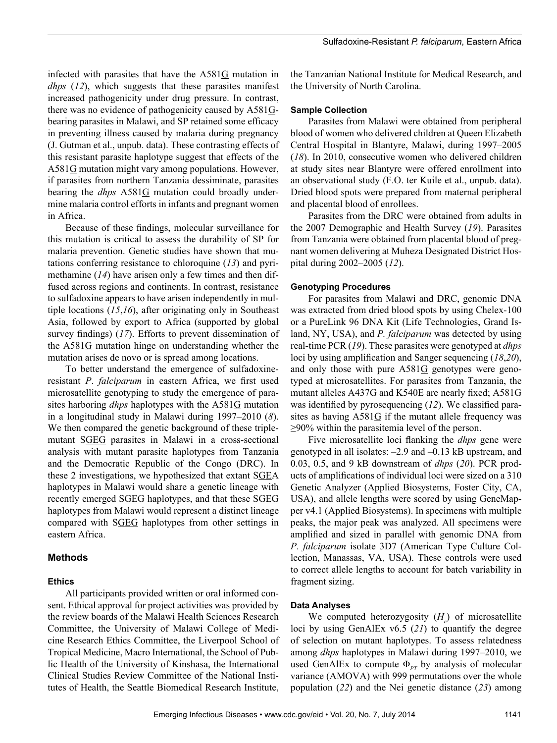infected with parasites that have the A581G mutation in *dhps* (*12*), which suggests that these parasites manifest increased pathogenicity under drug pressure. In contrast, there was no evidence of pathogenicity caused by A581Gbearing parasites in Malawi, and SP retained some efficacy in preventing illness caused by malaria during pregnancy (J. Gutman et al., unpub. data). These contrasting effects of this resistant parasite haplotype suggest that effects of the A581G mutation might vary among populations. However, if parasites from northern Tanzania dessiminate, parasites bearing the *dhps* A581G mutation could broadly undermine malaria control efforts in infants and pregnant women in Africa.

Because of these findings, molecular surveillance for this mutation is critical to assess the durability of SP for malaria prevention. Genetic studies have shown that mutations conferring resistance to chloroquine (*13*) and pyrimethamine (*14*) have arisen only a few times and then diffused across regions and continents. In contrast, resistance to sulfadoxine appears to have arisen independently in multiple locations (*15*,*16*), after originating only in Southeast Asia, followed by export to Africa (supported by global survey findings) (*17*). Efforts to prevent dissemination of the  $A581G$  mutation hinge on understanding whether the mutation arises de novo or is spread among locations.

To better understand the emergence of sulfadoxineresistant *P*. *falciparum* in eastern Africa, we first used microsatellite genotyping to study the emergence of parasites harboring *dhps* haplotypes with the A581G mutation in a longitudinal study in Malawi during 1997–2010 (*8*). We then compared the genetic background of these triplemutant SGEG parasites in Malawi in a cross-sectional analysis with mutant parasite haplotypes from Tanzania and the Democratic Republic of the Congo (DRC). In these 2 investigations, we hypothesized that extant SGEA haplotypes in Malawi would share a genetic lineage with recently emerged SGEG haplotypes, and that these SGEG haplotypes from Malawi would represent a distinct lineage compared with SGEG haplotypes from other settings in eastern Africa.

## **Methods**

## **Ethics**

All participants provided written or oral informed consent. Ethical approval for project activities was provided by the review boards of the Malawi Health Sciences Research Committee, the University of Malawi College of Medicine Research Ethics Committee, the Liverpool School of Tropical Medicine, Macro International, the School of Public Health of the University of Kinshasa, the International Clinical Studies Review Committee of the National Institutes of Health, the Seattle Biomedical Research Institute,

the Tanzanian National Institute for Medical Research, and the University of North Carolina.

## **Sample Collection**

Parasites from Malawi were obtained from peripheral blood of women who delivered children at Queen Elizabeth Central Hospital in Blantyre, Malawi, during 1997–2005 (*18*). In 2010, consecutive women who delivered children at study sites near Blantyre were offered enrollment into an observational study (F.O. ter Kuile et al., unpub. data). Dried blood spots were prepared from maternal peripheral and placental blood of enrollees.

Parasites from the DRC were obtained from adults in the 2007 Demographic and Health Survey (*19*). Parasites from Tanzania were obtained from placental blood of pregnant women delivering at Muheza Designated District Hospital during 2002–2005 (*12*).

## **Genotyping Procedures**

For parasites from Malawi and DRC, genomic DNA was extracted from dried blood spots by using Chelex-100 or a PureLink 96 DNA Kit (Life Technologies, Grand Island, NY, USA), and *P. falciparum* was detected by using real-time PCR (*19*). These parasites were genotyped at *dhps* loci by using amplification and Sanger sequencing (*18*,*20*), and only those with pure A581G genotypes were genotyped at microsatellites. For parasites from Tanzania, the mutant alleles A437G and K540E are nearly fixed; A581G was identified by pyrosequencing (*12*). We classified parasites as having  $A581G$  if the mutant allele frequency was ≥90% within the parasitemia level of the person.

Five microsatellite loci flanking the *dhps* gene were genotyped in all isolates: –2.9 and –0.13 kB upstream, and 0.03, 0.5, and 9 kB downstream of *dhps* (*20*). PCR products of amplifications of individual loci were sized on a 310 Genetic Analyzer (Applied Biosystems, Foster City, CA, USA), and allele lengths were scored by using GeneMapper v4.1 (Applied Biosystems). In specimens with multiple peaks, the major peak was analyzed. All specimens were amplified and sized in parallel with genomic DNA from *P. falciparum* isolate 3D7 (American Type Culture Collection, Manassas, VA, USA). These controls were used to correct allele lengths to account for batch variability in fragment sizing.

## **Data Analyses**

We computed heterozygosity  $(H_e)$  of microsatellite loci by using GenAlEx v6.5 (*21*) to quantify the degree of selection on mutant haplotypes. To assess relatedness among *dhps* haplotypes in Malawi during 1997–2010, we used GenAlEx to compute  $\Phi_{pr}$  by analysis of molecular variance (AMOVA) with 999 permutations over the whole population (*22*) and the Nei genetic distance (*23*) among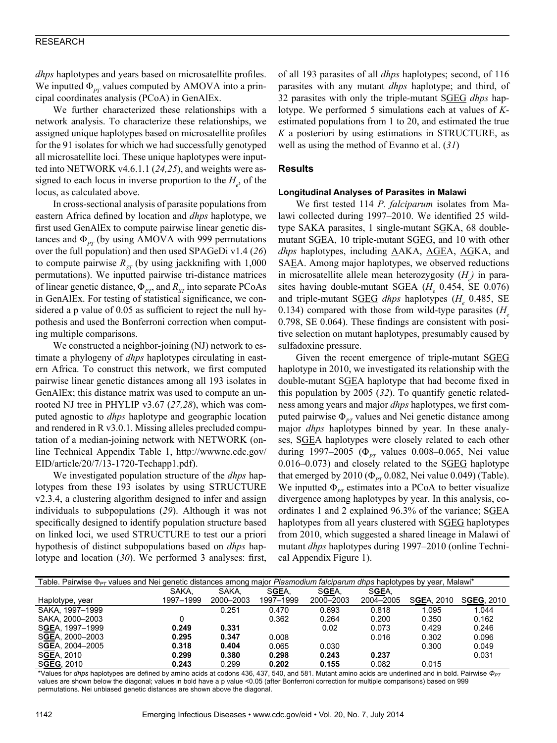*dhps* haplotypes and years based on microsatellite profiles. We inputted  $\Phi_{PT}$  values computed by AMOVA into a principal coordinates analysis (PCoA) in GenAlEx.

We further characterized these relationships with a network analysis. To characterize these relationships, we assigned unique haplotypes based on microsatellite profiles for the 91 isolates for which we had successfully genotyped all microsatellite loci. These unique haplotypes were inputted into NETWORK v4.6.1.1 (*24,25*), and weights were assigned to each locus in inverse proportion to the  $H_e$ , of the locus, as calculated above.

In cross-sectional analysis of parasite populations from eastern Africa defined by location and *dhps* haplotype, we first used GenAlEx to compute pairwise linear genetic distances and  $\Phi_{PT}$  (by using AMOVA with 999 permutations over the full population) and then used SPAGeDi v1.4 (*26*) to compute pairwise  $R_{ST}$  (by using jackknifing with 1,000) permutations). We inputted pairwise tri-distance matrices of linear genetic distance, Φ<sub>*PT*</sub>, and R<sub>ST</sub> into separate PCoAs in GenAlEx. For testing of statistical significance, we considered a p value of 0.05 as sufficient to reject the null hypothesis and used the Bonferroni correction when computing multiple comparisons.

We constructed a neighbor-joining (NJ) network to estimate a phylogeny of *dhps* haplotypes circulating in eastern Africa. To construct this network, we first computed pairwise linear genetic distances among all 193 isolates in GenAlEx; this distance matrix was used to compute an unrooted NJ tree in PHYLIP v3.67 (*27,28*), which was computed agnostic to *dhps* haplotype and geographic location and rendered in R v3.0.1. Missing alleles precluded computation of a median-joining network with NETWORK (online Technical Appendix Table 1, http://wwwnc.cdc.gov/ EID/article/20/7/13-1720-Techapp1.pdf).

We investigated population structure of the *dhps* haplotypes from these 193 isolates by using STRUCTURE v2.3.4, a clustering algorithm designed to infer and assign individuals to subpopulations (*29*). Although it was not specifically designed to identify population structure based on linked loci, we used STRUCTURE to test our a priori hypothesis of distinct subpopulations based on *dhps* haplotype and location (*30*). We performed 3 analyses: first, of all 193 parasites of all *dhps* haplotypes; second, of 116 parasites with any mutant *dhps* haplotype; and third, of 32 parasites with only the triple-mutant SGEG *dhps* haplotype. We performed 5 simulations each at values of *K*estimated populations from 1 to 20, and estimated the true *K* a posteriori by using estimations in STRUCTURE, as well as using the method of Evanno et al. (*31*)

## **Results**

#### **Longitudinal Analyses of Parasites in Malawi**

We first tested 114 *P. falciparum* isolates from Malawi collected during 1997–2010. We identified 25 wildtype SAKA parasites, 1 single-mutant SGKA, 68 doublemutant SGEA, 10 triple-mutant SGEG, and 10 with other *dhps* haplotypes, including AAKA, AGEA, AGKA, and SAEA. Among major haplotypes, we observed reductions in microsatellite allele mean heterozygosity ( $H_e$ ) in parasites having double-mutant S**GEA** (*H<sub>e</sub>* 0.454, SE 0.076) and triple-mutant SGEG *dhps* haplotypes ( $H_e$  0.485, SE 0.134) compared with those from wild-type parasites (*H* 0.798, SE 0.064). These findings are consistent with positive selection on mutant haplotypes, presumably caused by sulfadoxine pressure.

Given the recent emergence of triple-mutant SGEG haplotype in 2010, we investigated its relationship with the double-mutant SGEA haplotype that had become fixed in this population by 2005 (*32*). To quantify genetic relatedness among years and major *dhps* haplotypes, we first computed pairwise  $\Phi_{pr}$  values and Nei genetic distance among major *dhps* haplotypes binned by year. In these analyses, SGEA haplotypes were closely related to each other during 1997–2005 (Φ<sub>*PT*</sub> values 0.008–0.065, Nei value 0.016–0.073) and closely related to the SGEG haplotype that emerged by 2010 ( $\Phi_{PT}$  0.082, Nei value 0.049) (Table). We inputted  $\Phi_{PT}$  estimates into a PCoA to better visualize divergence among haplotypes by year. In this analysis, coordinates 1 and 2 explained 96.3% of the variance; SGEA haplotypes from all years clustered with SGEG haplotypes from 2010, which suggested a shared lineage in Malawi of mutant *dhps* haplotypes during 1997–2010 (online Technical Appendix Figure 1).

| Table. Pairwise $\Phi_{PT}$ values and Nei genetic distances among major Plasmodium falciparum dhps haplotypes by year, Malawi* |           |           |           |           |           |            |            |
|---------------------------------------------------------------------------------------------------------------------------------|-----------|-----------|-----------|-----------|-----------|------------|------------|
|                                                                                                                                 | SAKA.     | SAKA.     | SGEA,     | SGEA,     | SGEA,     |            |            |
| Haplotype, year                                                                                                                 | 1997-1999 | 2000-2003 | 1997-1999 | 2000-2003 | 2004-2005 | SGEA, 2010 | SGEG, 2010 |
| SAKA, 1997-1999                                                                                                                 |           | 0.251     | 0.470     | 0.693     | 0.818     | 1.095      | 1.044      |
| SAKA, 2000-2003                                                                                                                 |           |           | 0.362     | 0.264     | 0.200     | 0.350      | 0.162      |
| SGEA, 1997-1999                                                                                                                 | 0.249     | 0.331     |           | 0.02      | 0.073     | 0.429      | 0.246      |
| SGEA, 2000-2003                                                                                                                 | 0.295     | 0.347     | 0.008     |           | 0.016     | 0.302      | 0.096      |
| SGEA, 2004-2005                                                                                                                 | 0.318     | 0.404     | 0.065     | 0.030     |           | 0.300      | 0.049      |
| SGEA, 2010                                                                                                                      | 0.299     | 0.380     | 0.298     | 0.243     | 0.237     |            | 0.031      |
| SGEG, 2010                                                                                                                      | 0.243     | 0.299     | 0.202     | 0.155     | 0.082     | 0.015      |            |

\*Values for *dhps* haplotypes are defined by amino acids at codons 436, 437, 540, and 581. Mutant amino acids are underlined and in bold. Pairwise  $\Phi_{PT}$ values are shown below the diagonal; values in bold have a p value <0.05 (after Bonferroni correction for multiple comparisons) based on 999 permutations. Nei unbiased genetic distances are shown above the diagonal.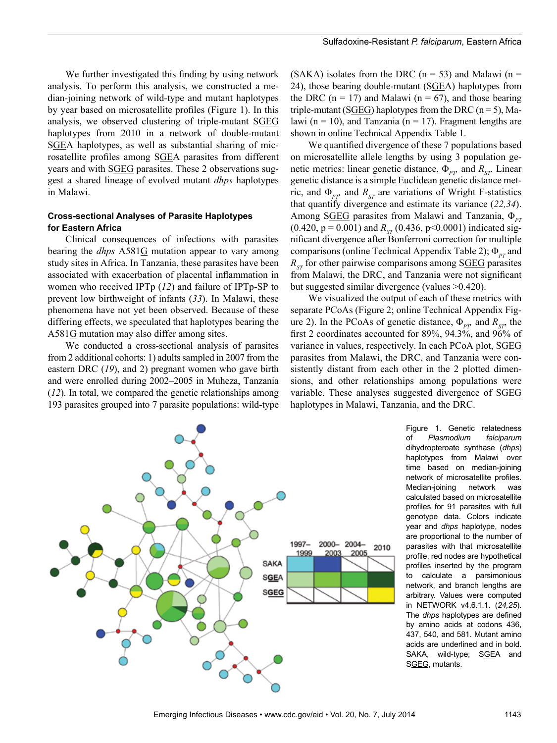We further investigated this finding by using network analysis. To perform this analysis, we constructed a median-joining network of wild-type and mutant haplotypes by year based on microsatellite profiles (Figure 1). In this analysis, we observed clustering of triple-mutant SGEG haplotypes from 2010 in a network of double-mutant SGEA haplotypes, as well as substantial sharing of microsatellite profiles among SGEA parasites from different years and with SGEG parasites. These 2 observations suggest a shared lineage of evolved mutant *dhps* haplotypes in Malawi.

## **Cross-sectional Analyses of Parasite Haplotypes for Eastern Africa**

Clinical consequences of infections with parasites bearing the *dhps* A581G mutation appear to vary among study sites in Africa. In Tanzania, these parasites have been associated with exacerbation of placental inflammation in women who received IPTp (*12*) and failure of IPTp-SP to prevent low birthweight of infants (*33*). In Malawi, these phenomena have not yet been observed. Because of these differing effects, we speculated that haplotypes bearing the A581G mutation may also differ among sites.

We conducted a cross-sectional analysis of parasites from 2 additional cohorts: 1) adults sampled in 2007 from the eastern DRC (*19*), and 2) pregnant women who gave birth and were enrolled during 2002–2005 in Muheza, Tanzania (*12*). In total, we compared the genetic relationships among 193 parasites grouped into 7 parasite populations: wild-type

(SAKA) isolates from the DRC ( $n = 53$ ) and Malawi ( $n =$ 24), those bearing double-mutant (SGEA) haplotypes from the DRC ( $n = 17$ ) and Malawi ( $n = 67$ ), and those bearing triple-mutant (SGEG) haplotypes from the DRC ( $n = 5$ ), Malawi ( $n = 10$ ), and Tanzania ( $n = 17$ ). Fragment lengths are shown in online Technical Appendix Table 1.

We quantified divergence of these 7 populations based on microsatellite allele lengths by using 3 population genetic metrics: linear genetic distance,  $\Phi_{\rho r}$  and  $R_{\rm ST}$ . Linear genetic distance is a simple Euclidean genetic distance metric, and  $\Phi_{\text{PP}}$  and  $R_{\text{ST}}$  are variations of Wright F-statistics that quantify divergence and estimate its variance (*22,34*). Among S**GEG** parasites from Malawi and Tanzania, Φ<sub>PT</sub>  $(0.420, p = 0.001)$  and  $R_{ST}$  (0.436, p<0.0001) indicated significant divergence after Bonferroni correction for multiple comparisons (online Technical Appendix Table 2); Φ<sub>PT</sub> and  $R_{cr}$  for other pairwise comparisons among SGEG parasites from Malawi, the DRC, and Tanzania were not significant but suggested similar divergence (values >0.420).

We visualized the output of each of these metrics with separate PCoAs (Figure 2; online Technical Appendix Figure 2). In the PCoAs of genetic distance,  $\Phi_{\rho r}$  and  $R_{\rho s}$  the first 2 coordinates accounted for 89%, 94.3%, and 96% of variance in values, respectively. In each PCoA plot, SGEG parasites from Malawi, the DRC, and Tanzania were consistently distant from each other in the 2 plotted dimensions, and other relationships among populations were variable. These analyses suggested divergence of SGEG haplotypes in Malawi, Tanzania, and the DRC.



Figure 1. Genetic relatedness of *Plasmodium falciparum* dihydropteroate synthase (*dhps*) haplotypes from Malawi over time based on median-joining network of microsatellite profiles. Median-joining network was calculated based on microsatellite profiles for 91 parasites with full genotype data. Colors indicate year and *dhps* haplotype, nodes are proportional to the number of parasites with that microsatellite profile, red nodes are hypothetical profiles inserted by the program to calculate a parsimonious network, and branch lengths are arbitrary. Values were computed in NETWORK v4.6.1.1. (*24,25*). The *dhps* haplotypes are defined by amino acids at codons 436, 437, 540, and 581. Mutant amino acids are underlined and in bold. SAKA, wild-type; SGEA and SGEG, mutants.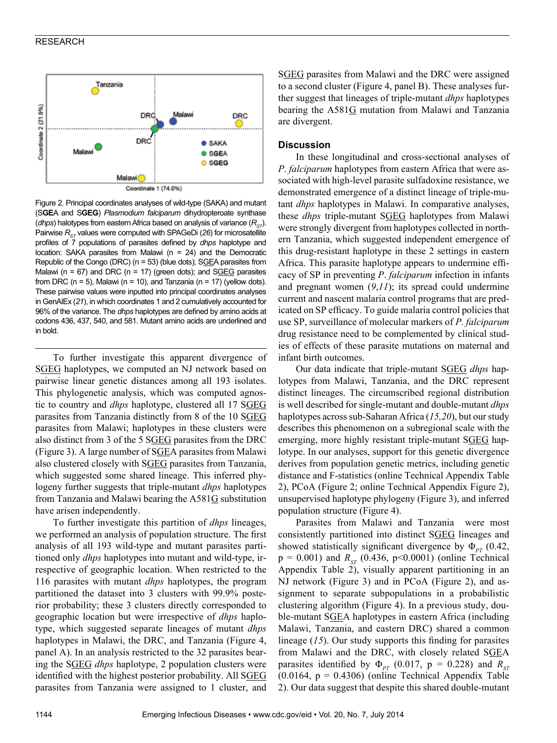

Figure 2. Principal coordinates analyses of wild-type (SAKA) and mutant (S**GE**A and S**GEG**) *Plasmodium falciparum* dihydropteroate synthase (*dhps*) halotypes from eastern Africa based on analysis of variance ( $R_{\rm cr}$ ). Pairwise R<sub>ST</sub> values were computed with SPAGeDi (26) for microsatellite profiles of 7 populations of parasites defined by *dhps* haplotype and location: SAKA parasites from Malawi (n = 24) and the Democratic Republic of the Congo (DRC) ( $n = 53$ ) (blue dots); SGEA parasites from Malawi ( $n = 67$ ) and DRC ( $n = 17$ ) (green dots); and SGEG parasites from DRC ( $n = 5$ ), Malawi ( $n = 10$ ), and Tanzania ( $n = 17$ ) (yellow dots). These pairwise values were inputted into principal coordinates analyses in GenAlEx (*21*), in which coordinates 1 and 2 cumulatively accounted for 96% of the variance. The *dhps* haplotypes are defined by amino acids at codons 436, 437, 540, and 581. Mutant amino acids are underlined and in bold.

To further investigate this apparent divergence of SGEG haplotypes, we computed an NJ network based on pairwise linear genetic distances among all 193 isolates. This phylogenetic analysis, which was computed agnostic to country and *dhps* haplotype, clustered all 17 SGEG parasites from Tanzania distinctly from 8 of the 10 SGEG parasites from Malawi; haplotypes in these clusters were also distinct from 3 of the 5 SGEG parasites from the DRC (Figure 3). A large number of SGEA parasites from Malawi also clustered closely with SGEG parasites from Tanzania, which suggested some shared lineage. This inferred phylogeny further suggests that triple-mutant *dhps* haplotypes from Tanzania and Malawi bearing the A581G substitution have arisen independently.

To further investigate this partition of *dhps* lineages, we performed an analysis of population structure. The first analysis of all 193 wild-type and mutant parasites partitioned only *dhps* haplotypes into mutant and wild-type, irrespective of geographic location. When restricted to the 116 parasites with mutant *dhps* haplotypes, the program partitioned the dataset into 3 clusters with 99.9% posterior probability; these 3 clusters directly corresponded to geographic location but were irrespective of *dhps* haplotype, which suggested separate lineages of mutant *dhps* haplotypes in Malawi, the DRC, and Tanzania (Figure 4, panel A). In an analysis restricted to the 32 parasites bearing the SGEG *dhps* haplotype, 2 population clusters were identified with the highest posterior probability. All SGEG parasites from Tanzania were assigned to 1 cluster, and

SGEG parasites from Malawi and the DRC were assigned to a second cluster (Figure 4, panel B). These analyses further suggest that lineages of triple-mutant *dhps* haplotypes bearing the A581G mutation from Malawi and Tanzania are divergent.

### **Discussion**

In these longitudinal and cross-sectional analyses of *P*. *falciparum* haplotypes from eastern Africa that were associated with high-level parasite sulfadoxine resistance, we demonstrated emergence of a distinct lineage of triple-mutant *dhps* haplotypes in Malawi. In comparative analyses, these *dhps* triple-mutant SGEG haplotypes from Malawi were strongly divergent from haplotypes collected in northern Tanzania, which suggested independent emergence of this drug-resistant haplotype in these 2 settings in eastern Africa. This parasite haplotype appears to undermine efficacy of SP in preventing *P*. *falciparum* infection in infants and pregnant women (*9*,*11*); its spread could undermine current and nascent malaria control programs that are predicated on SP efficacy. To guide malaria control policies that use SP, surveillance of molecular markers of *P. falciparum* drug resistance need to be complemented by clinical studies of effects of these parasite mutations on maternal and infant birth outcomes.

Our data indicate that triple-mutant SGEG *dhps* haplotypes from Malawi, Tanzania, and the DRC represent distinct lineages. The circumscribed regional distribution is well described for single-mutant and double-mutant *dhps* haplotypes across sub-Saharan Africa (*15,20*), but our study describes this phenomenon on a subregional scale with the emerging, more highly resistant triple-mutant SGEG haplotype. In our analyses, support for this genetic divergence derives from population genetic metrics, including genetic distance and F-statistics (online Technical Appendix Table 2), PCoA (Figure 2; online Technical Appendix Figure 2), unsupervised haplotype phylogeny (Figure 3), and inferred population structure (Figure 4).

Parasites from Malawi and Tanzania were most consistently partitioned into distinct SGEG lineages and showed statistically significant divergence by  $\Phi_{PT}$  (0.42,  $p = 0.001$ ) and  $R_{ST}$  (0.436, p<0.0001) (online Technical Appendix Table 2), visually apparent partitioning in an NJ network (Figure 3) and in PCoA (Figure 2), and assignment to separate subpopulations in a probabilistic clustering algorithm (Figure 4). In a previous study, double-mutant SGEA haplotypes in eastern Africa (including Malawi, Tanzania, and eastern DRC) shared a common lineage (*15*). Our study supports this finding for parasites from Malawi and the DRC, with closely related SGEA parasites identified by  $\Phi_{PT}$  (0.017, p = 0.228) and  $R_{ST}$  $(0.0164, p = 0.4306)$  (online Technical Appendix Table 2). Our data suggest that despite this shared double-mutant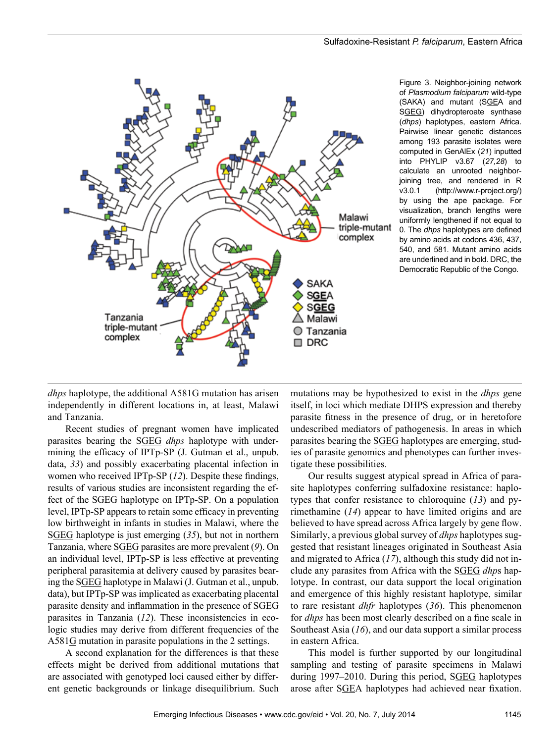

Figure 3. Neighbor-joining network of *Plasmodium falciparum* wild-type (SAKA) and mutant (SGEA and SGEG) dihydropteroate synthase (*dhps*) haplotypes, eastern Africa. Pairwise linear genetic distances among 193 parasite isolates were computed in GenAlEx (*21*) inputted into PHYLIP v3.67 (*27,28*) to calculate an unrooted neighborjoining tree, and rendered in R v3.0.1 (http://www.r-project.org/) by using the ape package. For visualization, branch lengths were uniformly lengthened if not equal to 0. The *dhps* haplotypes are defined by amino acids at codons 436, 437, 540, and 581. Mutant amino acids are underlined and in bold. DRC, the Democratic Republic of the Congo.

*dhps* haplotype, the additional  $A581G$  mutation has arisen independently in different locations in, at least, Malawi and Tanzania.

Recent studies of pregnant women have implicated parasites bearing the SGEG *dhps* haplotype with undermining the efficacy of IPTp-SP (J. Gutman et al., unpub. data, *33*) and possibly exacerbating placental infection in women who received IPTp-SP (*12*). Despite these findings, results of various studies are inconsistent regarding the effect of the SGEG haplotype on IPTp-SP. On a population level, IPTp-SP appears to retain some efficacy in preventing low birthweight in infants in studies in Malawi, where the SGEG haplotype is just emerging (*35*), but not in northern Tanzania, where SGEG parasites are more prevalent (*9*). On an individual level, IPTp-SP is less effective at preventing peripheral parasitemia at delivery caused by parasites bearing the SGEG haplotype in Malawi (J. Gutman et al., unpub. data), but IPTp-SP was implicated as exacerbating placental parasite density and inflammation in the presence of SGEG parasites in Tanzania (*12*). These inconsistencies in ecologic studies may derive from different frequencies of the  $A581G$  mutation in parasite populations in the 2 settings.

A second explanation for the differences is that these effects might be derived from additional mutations that are associated with genotyped loci caused either by different genetic backgrounds or linkage disequilibrium. Such

mutations may be hypothesized to exist in the *dhps* gene itself, in loci which mediate DHPS expression and thereby parasite fitness in the presence of drug, or in heretofore undescribed mediators of pathogenesis. In areas in which parasites bearing the SGEG haplotypes are emerging, studies of parasite genomics and phenotypes can further investigate these possibilities.

Our results suggest atypical spread in Africa of parasite haplotypes conferring sulfadoxine resistance: haplotypes that confer resistance to chloroquine (*13*) and pyrimethamine (*14*) appear to have limited origins and are believed to have spread across Africa largely by gene flow. Similarly, a previous global survey of *dhps* haplotypes suggested that resistant lineages originated in Southeast Asia and migrated to Africa (*17*), although this study did not include any parasites from Africa with the SGEG *dhp*s haplotype. In contrast, our data support the local origination and emergence of this highly resistant haplotype, similar to rare resistant *dhfr* haplotypes (*36*). This phenomenon for *dhps* has been most clearly described on a fine scale in Southeast Asia (*16*), and our data support a similar process in eastern Africa.

This model is further supported by our longitudinal sampling and testing of parasite specimens in Malawi during 1997–2010. During this period, SGEG haplotypes arose after SGEA haplotypes had achieved near fixation.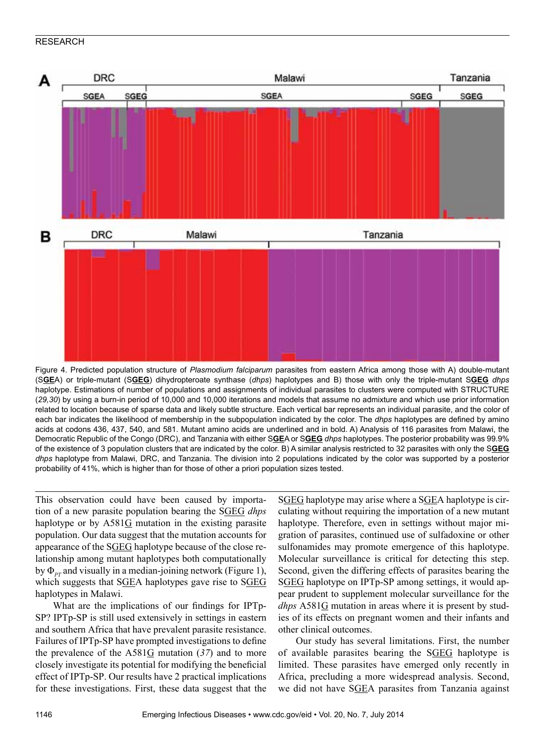

Figure 4. Predicted population structure of *Plasmodium falciparum* parasites from eastern Africa among those with A) double-mutant (S**GE**A) or triple-mutant (S**GEG**) dihydropteroate synthase (*dhps*) haplotypes and B) those with only the triple-mutant S**GEG** *dhps* haplotype. Estimations of number of populations and assignments of individual parasites to clusters were computed with STRUCTURE (*29,30*) by using a burn-in period of 10,000 and 10,000 iterations and models that assume no admixture and which use prior information related to location because of sparse data and likely subtle structure. Each vertical bar represents an individual parasite, and the color of each bar indicates the likelihood of membership in the subpopulation indicated by the color. The *dhps* haplotypes are defined by amino acids at codons 436, 437, 540, and 581. Mutant amino acids are underlined and in bold. A) Analysis of 116 parasites from Malawi, the Democratic Republic of the Congo (DRC), and Tanzania with either S**GE**A or S**GEG** *dhps* haplotypes. The posterior probability was 99.9% of the existence of 3 population clusters that are indicated by the color. B) A similar analysis restricted to 32 parasites with only the S**GEG** *dhps* haplotype from Malawi, DRC, and Tanzania. The division into 2 populations indicated by the color was supported by a posterior probability of 41%, which is higher than for those of other a priori population sizes tested.

This observation could have been caused by importation of a new parasite population bearing the SGEG *dhps* haplotype or by  $A581G$  mutation in the existing parasite population. Our data suggest that the mutation accounts for appearance of the SGEG haplotype because of the close relationship among mutant haplotypes both computationally by Φ<sub>*PT*</sub> and visually in a median-joining network (Figure 1), which suggests that SGEA haplotypes gave rise to SGEG haplotypes in Malawi.

What are the implications of our findings for IPTp-SP? IPTp-SP is still used extensively in settings in eastern and southern Africa that have prevalent parasite resistance. Failures of IPTp-SP have prompted investigations to define the prevalence of the  $A581G$  mutation (37) and to more closely investigate its potential for modifying the beneficial effect of IPTp-SP. Our results have 2 practical implications for these investigations. First, these data suggest that the

SGEG haplotype may arise where a SGEA haplotype is circulating without requiring the importation of a new mutant haplotype. Therefore, even in settings without major migration of parasites, continued use of sulfadoxine or other sulfonamides may promote emergence of this haplotype. Molecular surveillance is critical for detecting this step. Second, given the differing effects of parasites bearing the SGEG haplotype on IPTp-SP among settings, it would appear prudent to supplement molecular surveillance for the *dhps* A581G mutation in areas where it is present by studies of its effects on pregnant women and their infants and other clinical outcomes.

Our study has several limitations. First, the number of available parasites bearing the SGEG haplotype is limited. These parasites have emerged only recently in Africa, precluding a more widespread analysis. Second, we did not have SGEA parasites from Tanzania against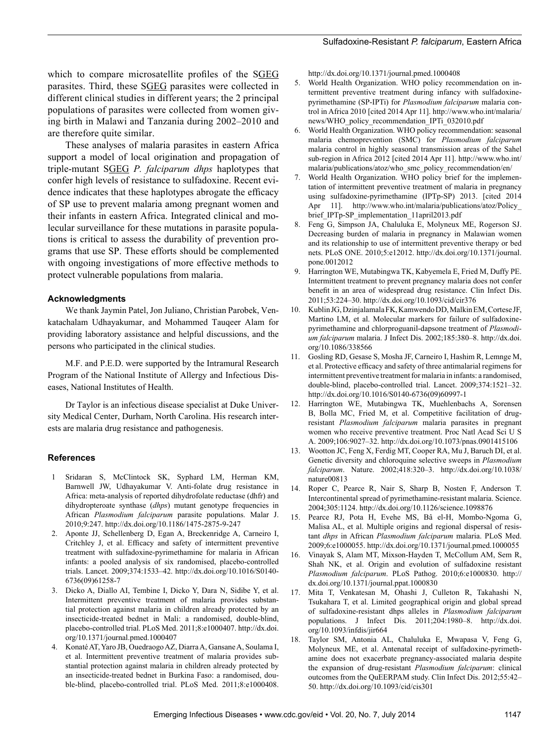which to compare microsatellite profiles of the SGEG parasites. Third, these SGEG parasites were collected in different clinical studies in different years; the 2 principal populations of parasites were collected from women giving birth in Malawi and Tanzania during 2002–2010 and are therefore quite similar.

These analyses of malaria parasites in eastern Africa support a model of local origination and propagation of triple-mutant SGEG *P. falciparum dhps* haplotypes that confer high levels of resistance to sulfadoxine. Recent evidence indicates that these haplotypes abrogate the efficacy of SP use to prevent malaria among pregnant women and their infants in eastern Africa. Integrated clinical and molecular surveillance for these mutations in parasite populations is critical to assess the durability of prevention programs that use SP. These efforts should be complemented with ongoing investigations of more effective methods to protect vulnerable populations from malaria.

#### **Acknowledgments**

We thank Jaymin Patel, Jon Juliano, Christian Parobek, Venkatachalam Udhayakumar, and Mohammed Tauqeer Alam for providing laboratory assistance and helpful discussions, and the persons who participated in the clinical studies.

M.F. and P.E.D. were supported by the Intramural Research Program of the National Institute of Allergy and Infectious Diseases, National Institutes of Health.

Dr Taylor is an infectious disease specialist at Duke University Medical Center, Durham, North Carolina. His research interests are malaria drug resistance and pathogenesis.

### **References**

- 1 Sridaran S, McClintock SK, Syphard LM, Herman KM, Barnwell JW, Udhayakumar V. Anti-folate drug resistance in Africa: meta-analysis of reported dihydrofolate reductase (dhfr) and dihydropteroate synthase (*dhps*) mutant genotype frequencies in African *Plasmodium falciparum* parasite populations. Malar J. 2010;9:247. http://dx.doi.org/10.1186/1475-2875-9-247
- 2. Aponte JJ, Schellenberg D, Egan A, Breckenridge A, Carneiro I, Critchley J, et al. Efficacy and safety of intermittent preventive treatment with sulfadoxine-pyrimethamine for malaria in African infants: a pooled analysis of six randomised, placebo-controlled trials. Lancet. 2009;374:1533–42. http://dx.doi.org/10.1016/S0140- 6736(09)61258-7
- 3. Dicko A, Diallo AI, Tembine I, Dicko Y, Dara N, Sidibe Y, et al. Intermittent preventive treatment of malaria provides substantial protection against malaria in children already protected by an insecticide-treated bednet in Mali: a randomised, double-blind, placebo-controlled trial. PLoS Med. 2011;8:e1000407. http://dx.doi. org/10.1371/journal.pmed.1000407
- 4. Konaté AT, Yaro JB, Ouedraogo AZ, Diarra A, Gansane A, Soulama I, et al. Intermittent preventive treatment of malaria provides substantial protection against malaria in children already protected by an insecticide-treated bednet in Burkina Faso: a randomised, double-blind, placebo-controlled trial. PLoS Med. 2011;8:e1000408.

http://dx.doi.org/10.1371/journal.pmed.1000408

- 5. World Health Organization. WHO policy recommendation on intermittent preventive treatment during infancy with sulfadoxinepyrimethamine (SP-IPTi) for *Plasmodium falciparum* malaria control in Africa 2010 [cited 2014 Apr 11]. http://www.who.int/malaria/ news/WHO\_policy\_recommendation\_IPTi\_032010.pdf
- 6. World Health Organization. WHO policy recommendation: seasonal malaria chemoprevention (SMC) for *Plasmodium falciparum* malaria control in highly seasonal transmission areas of the Sahel sub-region in Africa 2012 [cited 2014 Apr 11]. http://www.who.int/ malaria/publications/atoz/who\_smc\_policy\_recommendation/en/
- 7. World Health Organization. WHO policy brief for the implementation of intermittent preventive treatment of malaria in pregnancy using sulfadoxine-pyrimethamine (IPTp-SP) 2013. [cited 2014 Apr 11]. http://www.who.int/malaria/publications/atoz/Policy\_ brief IPTp-SP implementation 11april2013.pdf
- 8. Feng G, Simpson JA, Chaluluka E, Molyneux ME, Rogerson SJ. Decreasing burden of malaria in pregnancy in Malawian women and its relationship to use of intermittent preventive therapy or bed nets. PLoS ONE. 2010;5:e12012. http://dx.doi.org/10.1371/journal. pone.0012012
- 9. Harrington WE, Mutabingwa TK, Kabyemela E, Fried M, Duffy PE. Intermittent treatment to prevent pregnancy malaria does not confer benefit in an area of widespread drug resistance. Clin Infect Dis. 2011;53:224–30. http://dx.doi.org/10.1093/cid/cir376
- 10. Kublin JG, Dzinjalamala FK, Kamwendo DD, Malkin EM, Cortese JF, Martino LM, et al. Molecular markers for failure of sulfadoxinepyrimethamine and chlorproguanil-dapsone treatment of *Plasmodium falciparum* malaria. J Infect Dis. 2002;185:380–8. http://dx.doi. org/10.1086/338566
- 11. Gosling RD, Gesase S, Mosha JF, Carneiro I, Hashim R, Lemnge M, et al. Protective efficacy and safety of three antimalarial regimens for intermittent preventive treatment for malaria in infants: a randomised, double-blind, placebo-controlled trial. Lancet. 2009;374:1521–32. http://dx.doi.org/10.1016/S0140-6736(09)60997-1
- 12. Harrington WE, Mutabingwa TK, Muehlenbachs A, Sorensen B, Bolla MC, Fried M, et al. Competitive facilitation of drugresistant *Plasmodium falciparum* malaria parasites in pregnant women who receive preventive treatment. Proc Natl Acad Sci U S A. 2009;106:9027–32. http://dx.doi.org/10.1073/pnas.0901415106
- 13. Wootton JC, Feng X, Ferdig MT, Cooper RA, Mu J, Baruch DI, et al. Genetic diversity and chloroquine selective sweeps in *Plasmodium falciparum*. Nature. 2002;418:320–3. http://dx.doi.org/10.1038/ nature00813
- 14. Roper C, Pearce R, Nair S, Sharp B, Nosten F, Anderson T. Intercontinental spread of pyrimethamine-resistant malaria. Science. 2004;305:1124. http://dx.doi.org/10.1126/science.1098876
- 15. Pearce RJ, Pota H, Evehe MS, Bâ el-H, Mombo-Ngoma G, Malisa AL, et al. Multiple origins and regional dispersal of resistant *dhps* in African *Plasmodium falciparum* malaria. PLoS Med. 2009;6:e1000055. http://dx.doi.org/10.1371/journal.pmed.1000055
- 16. Vinayak S, Alam MT, Mixson-Hayden T, McCollum AM, Sem R, Shah NK, et al. Origin and evolution of sulfadoxine resistant *Plasmodium falciparum*. PLoS Pathog. 2010;6:e1000830. http:// dx.doi.org/10.1371/journal.ppat.1000830
- 17. Mita T, Venkatesan M, Ohashi J, Culleton R, Takahashi N, Tsukahara T, et al. Limited geographical origin and global spread of sulfadoxine-resistant dhps alleles in *Plasmodium falciparum* populations. J Infect Dis. 2011;204:1980–8. http://dx.doi. org/10.1093/infdis/jir664
- 18. Taylor SM, Antonia AL, Chaluluka E, Mwapasa V, Feng G, Molyneux ME, et al. Antenatal receipt of sulfadoxine-pyrimethamine does not exacerbate pregnancy-associated malaria despite the expansion of drug-resistant *Plasmodium falciparum*: clinical outcomes from the QuEERPAM study. Clin Infect Dis. 2012;55:42– 50. http://dx.doi.org/10.1093/cid/cis301